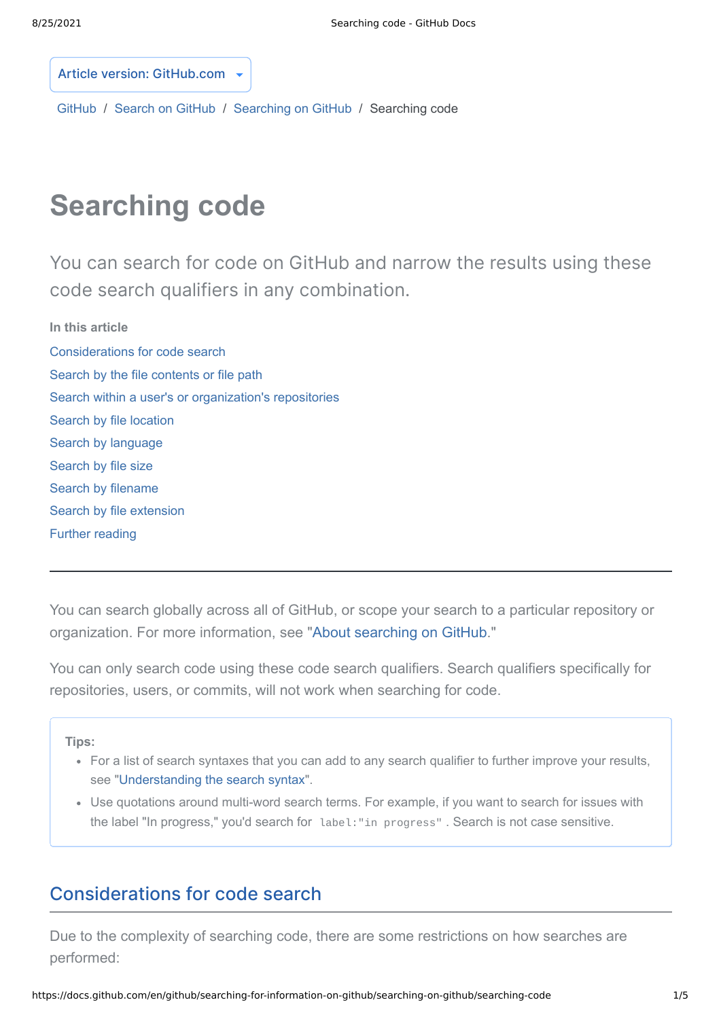Article version: GitHub.com

[GitHub](https://docs.github.com/en/github) / [Search on GitHub](https://docs.github.com/en/github/searching-for-information-on-github) / [Searching on GitHub](https://docs.github.com/en/github/searching-for-information-on-github/searching-on-github) / [Searching code](https://docs.github.com/en/github/searching-for-information-on-github/searching-on-github/searching-code)

# **Searching code**

You can search for code on GitHub and narrow the results using these code search qualifiers in any combination.

<span id="page-0-0"></span>**[In this article](#page-0-0)** [Considerations for code search](#page-0-1) [Search by the file contents or file path](#page-1-0) [Search within a user's or organization's repositories](#page-1-1) [Search by file location](#page-2-0) [Search by language](#page-2-1) [Search by file size](#page-3-0) [Search by filename](#page-3-1) [Search by file extension](#page-3-2) [Further reading](#page-4-0)

You can search globally across all of GitHub, or scope your search to a particular repository or organization. For more information, see "[About searching on GitHub](https://docs.github.com/en/articles/about-searching-on-github)."

You can only search code using these code search qualifiers. Search qualifiers specifically for repositories, users, or commits, will not work when searching for code.

**Tips:**

- For a list of search syntaxes that you can add to any search qualifier to further improve your results, see ["Understanding the search syntax"](https://docs.github.com/en/articles/understanding-the-search-syntax).
- Use quotations around multi-word search terms. For example, if you want to search for issues with the label "In progress," you'd search for label:"in progress" . Search is not case sensitive.

#### <span id="page-0-1"></span>[Considerations](#page-0-1) for code search

Due to the complexity of searching code, there are some restrictions on how searches are performed: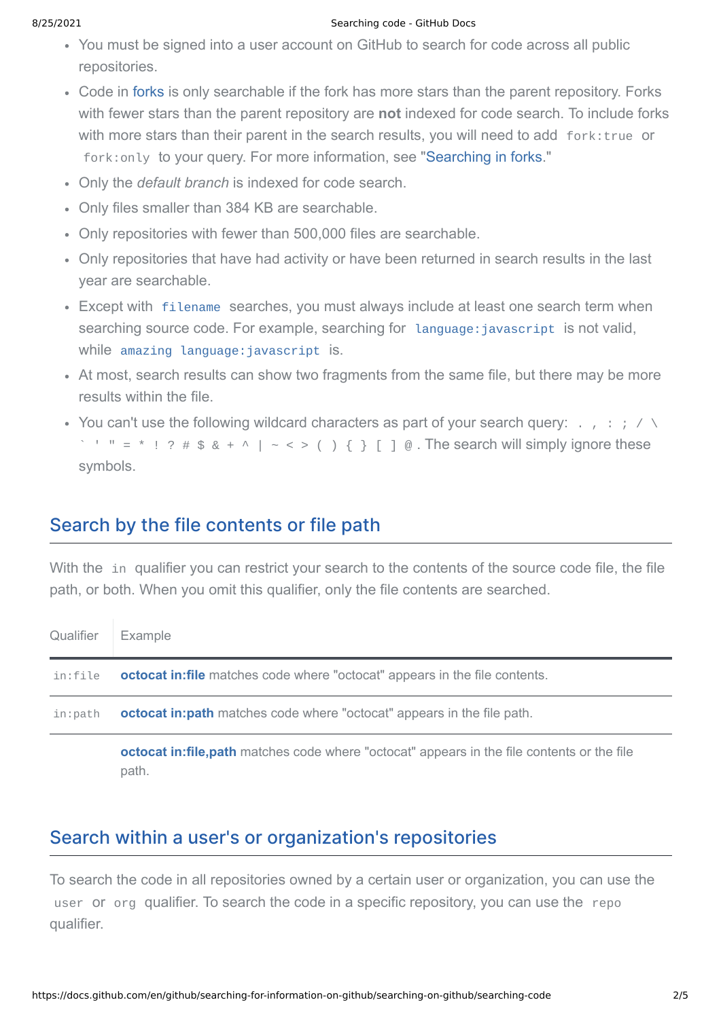#### 8/25/2021 Searching code - GitHub Docs

- You must be signed into a user account on GitHub to search for code across all public repositories.
- Code in [forks](https://docs.github.com/en/articles/about-forks) is only searchable if the fork has more stars than the parent repository. Forks with fewer stars than the parent repository are **not** indexed for code search. To include forks with more stars than their parent in the search results, you will need to add fork: true or fork: only to your query. For more information, see "[Searching in forks.](https://docs.github.com/en/articles/searching-in-forks)"
- Only the *default branch* is indexed for code search.
- Only files smaller than 384 KB are searchable.
- Only repositories with fewer than 500,000 files are searchable.
- Only repositories that have had activity or have been returned in search results in the last year are searchable.
- Except with [filename](#page-3-1) searches, you must always include at least one search term when searching source code. For example, searching for language: javascript is not valid, while amazing language: javascript is.
- At most, search results can show two fragments from the same file, but there may be more results within the file.
- You can't use the following wildcard characters as part of your search query:  $\ldots$ ,  $\ldots$  $\leq$  " = \* ! ? # \$ & + ^ | ~ < > ( ) { } [ ] @. The search will simply ignore these symbols.

## <span id="page-1-0"></span>Search by the file [contents](#page-1-0) or file path

With the in qualifier you can restrict your search to the contents of the source code file, the file path, or both. When you omit this qualifier, only the file contents are searched.

| Qualifier | Example                                                                                               |
|-----------|-------------------------------------------------------------------------------------------------------|
| in:file   | <b>octocat in: file</b> matches code where "octocat" appears in the file contents.                    |
| in:path   | <b>octocat in:path</b> matches code where "octocat" appears in the file path.                         |
|           | octocat in: file, path matches code where "octocat" appears in the file contents or the file<br>path. |

## <span id="page-1-1"></span>Search within a user's or [organization's](#page-1-1) repositories

To search the code in all repositories owned by a certain user or organization, you can use the user or org qualifier. To search the code in a specific repository, you can use the repo qualifier.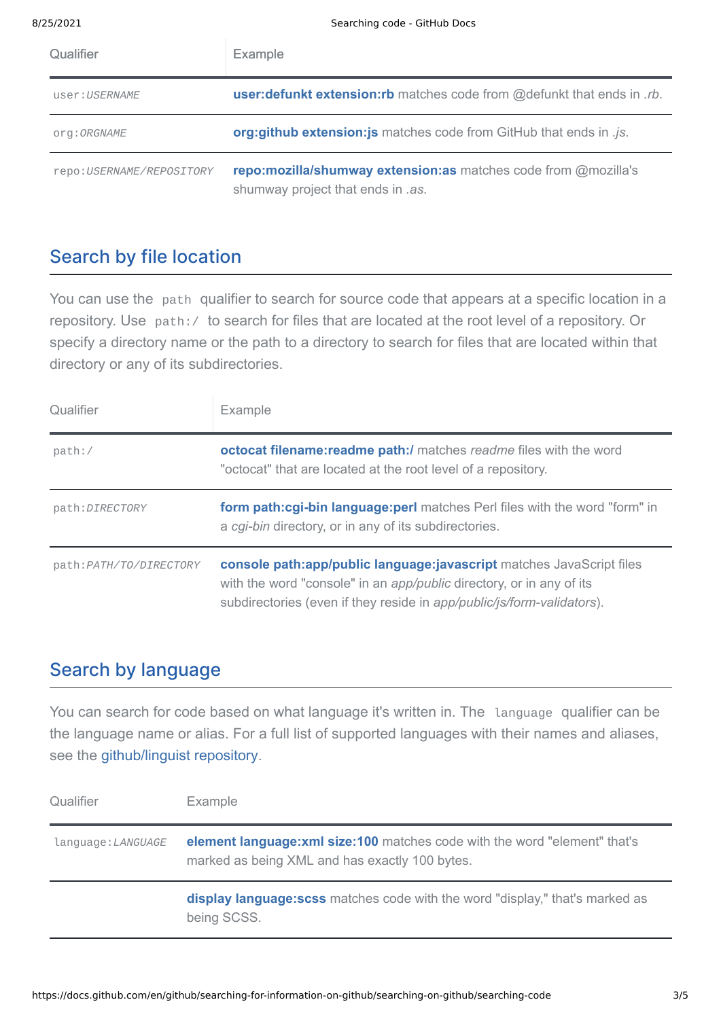| Qualifier                 | <b>Example</b>                                                                                      |
|---------------------------|-----------------------------------------------------------------------------------------------------|
| user:USERNAME             | user: defunkt extension: rb matches code from @defunkt that ends in .rb.                            |
| org: ORGNAME              | org:github extension: js matches code from GitHub that ends in .js.                                 |
| repo: USERNAME/REPOSITORY | repo:mozilla/shumway extension:as matches code from @mozilla's<br>shumway project that ends in .as. |

#### <span id="page-2-0"></span>Search by file [location](#page-2-0)

You can use the path qualifier to search for source code that appears at a specific location in a repository. Use path:/ to search for files that are located at the root level of a repository. Or specify a directory name or the path to a directory to search for files that are located within that directory or any of its subdirectories.

| Qualifier               | Example                                                                                                                                                                                                                |
|-------------------------|------------------------------------------------------------------------------------------------------------------------------------------------------------------------------------------------------------------------|
| path: /                 | <b>octocat filename:readme path:/</b> matches readme files with the word<br>"octocat" that are located at the root level of a repository.                                                                              |
| path: DIRECTORY         | form path:cgi-bin language: perl matches Perl files with the word "form" in<br>a cgi-bin directory, or in any of its subdirectories.                                                                                   |
| path: PATH/TO/DIRECTORY | console path:app/public language:javascript matches JavaScript files<br>with the word "console" in an app/public directory, or in any of its<br>subdirectories (even if they reside in app/public/js/form-validators). |

#### <span id="page-2-1"></span>Search by [language](#page-2-1)

You can search for code based on what language it's written in. The language qualifier can be the language name or alias. For a full list of supported languages with their names and aliases, see the [github/linguist repository](https://github.com/github/linguist/blob/master/lib/linguist/languages.yml).

| Qualifier          | Example                                                                                                                       |
|--------------------|-------------------------------------------------------------------------------------------------------------------------------|
| language: LANGUAGE | element language: xml size: 100 matches code with the word "element" that's<br>marked as being XML and has exactly 100 bytes. |
|                    | <b>display language:scss</b> matches code with the word "display," that's marked as<br>being SCSS.                            |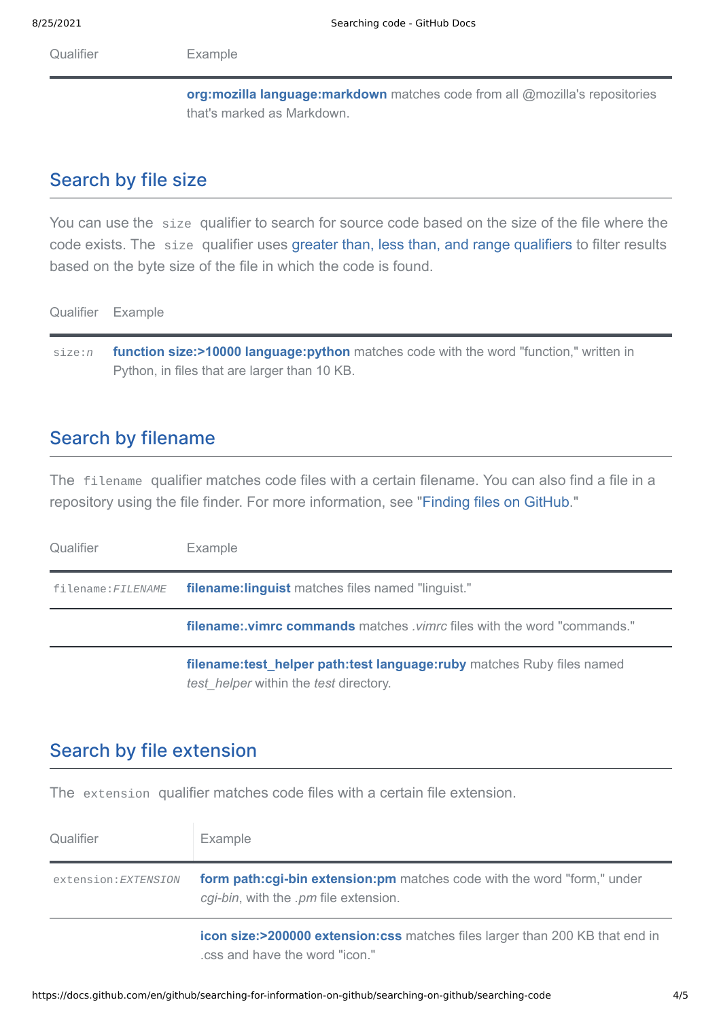8/25/2021 Searching code - GitHub Docs

Qualifier **Example** 

**org:mozilla [language:markdown](https://github.com/search?utf8=%E2%9C%93&q=org%3Amozilla+language%3Amarkdown&type=Code)** matches code from all @mozilla's repositories that's marked as Markdown.

#### <span id="page-3-0"></span>[Search](#page-3-0) by file size

You can use the size qualifier to search for source code based on the size of the file where the code exists. The size qualifier uses [greater than, less than, and range qualifiers](https://docs.github.com/en/articles/understanding-the-search-syntax) to filter results based on the byte size of the file in which the code is found.

Qualifier Example

size:*n* **function size:>10000 [language:python](https://github.com/search?q=function+size%3A%3E10000+language%3Apython&type=Code)** matches code with the word "function," written in Python, in files that are larger than 10 KB.

#### <span id="page-3-1"></span>Search by [filename](#page-3-1)

The filename qualifier matches code files with a certain filename. You can also find a file in a repository using the file finder. For more information, see "[Finding files on GitHub](https://docs.github.com/en/articles/finding-files-on-github)."

| Qualifier          | Example                                                                                                                          |
|--------------------|----------------------------------------------------------------------------------------------------------------------------------|
| filename: FILENAME | <b>filename: linguist</b> matches files named "linguist."                                                                        |
|                    | <b>filename: vimrc commands</b> matches <i>vimrc</i> files with the word "commands."                                             |
|                    | filename: test helper path: test language: ruby matches Ruby files named<br><i>test helper</i> within the <i>test</i> directory. |

#### <span id="page-3-2"></span>Search by file [extension](#page-3-2)

The extension qualifier matches code files with a certain file extension.

| Qualifier            | Example                                                                                                          |
|----------------------|------------------------------------------------------------------------------------------------------------------|
| extension: EXTENSION | form path:cgi-bin extension:pm matches code with the word "form," under<br>cgi-bin, with the .pm file extension. |
|                      | icon size:>200000 extension:css matches files larger than 200 KB that end in<br>css and have the word "icon."    |